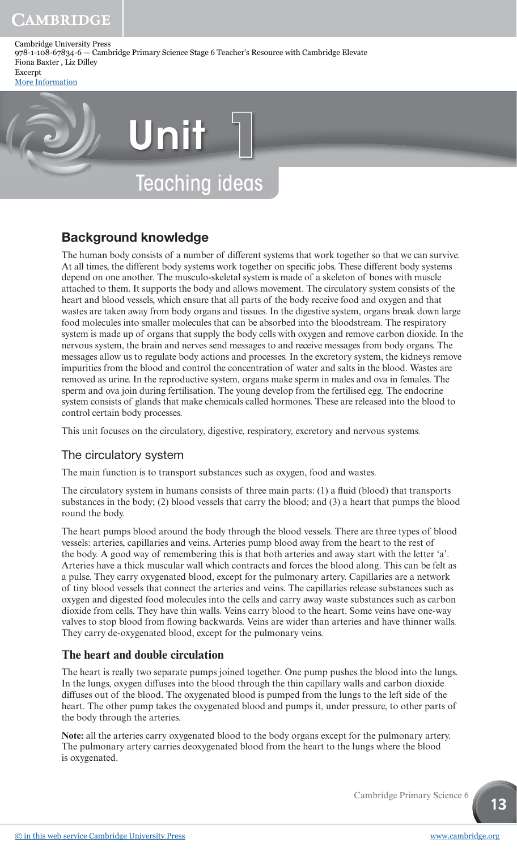[More Information](www.cambridge.org/9781108678346)

# Teaching ideas Unit **1**

## Background knowledge

The human body consists of a number of different systems that work together so that we can survive. At all times, the different body systems work together on specific jobs. These different body systems depend on one another. The musculo-skeletal system is made of a skeleton of bones with muscle attached to them. It supports the body and allows movement. The circulatory system consists of the heart and blood vessels, which ensure that all parts of the body receive food and oxygen and that wastes are taken away from body organs and tissues. In the digestive system, organs break down large food molecules into smaller molecules that can be absorbed into the bloodstream. The respiratory system is made up of organs that supply the body cells with oxygen and remove carbon dioxide. In the nervous system, the brain and nerves send messages to and receive messages from body organs. The messages allow us to regulate body actions and processes. In the excretory system, the kidneys remove impurities from the blood and control the concentration of water and salts in the blood. Wastes are removed as urine. In the reproductive system, organs make sperm in males and ova in females. The sperm and ova join during fertilisation. The young develop from the fertilised egg. The endocrine system consists of glands that make chemicals called hormones. These are released into the blood to control certain body processes.

This unit focuses on the circulatory, digestive, respiratory, excretory and nervous systems.

## The circulatory system

The main function is to transport substances such as oxygen, food and wastes.

The circulatory system in humans consists of three main parts:  $(1)$  a fluid (blood) that transports substances in the body; (2) blood vessels that carry the blood; and (3) a heart that pumps the blood round the body.

The heart pumps blood around the body through the blood vessels. There are three types of blood vessels: arteries, capillaries and veins. Arteries pump blood away from the heart to the rest of the body. A good way of remembering this is that both arteries and away start with the letter 'a'. Arteries have a thick muscular wall which contracts and forces the blood along. This can be felt as a pulse. They carry oxygenated blood, except for the pulmonary artery. Capillaries are a network of tiny blood vessels that connect the arteries and veins. The capillaries release substances such as oxygen and digested food molecules into the cells and carry away waste substances such as carbon dioxide from cells. They have thin walls. Veins carry blood to the heart. Some veins have one-way valves to stop blood from flowing backwards. Veins are wider than arteries and have thinner walls. They carry de-oxygenated blood, except for the pulmonary veins.

## **The heart and double circulation**

The heart is really two separate pumps joined together. One pump pushes the blood into the lungs. In the lungs, oxygen diffuses into the blood through the thin capillary walls and carbon dioxide diffuses out of the blood. The oxygenated blood is pumped from the lungs to the left side of the heart. The other pump takes the oxygenated blood and pumps it, under pressure, to other parts of the body through the arteries.

**Note:** all the arteries carry oxygenated blood to the body organs except for the pulmonary artery. The pulmonary artery carries deoxygenated blood from the heart to the lungs where the blood is oxygenated.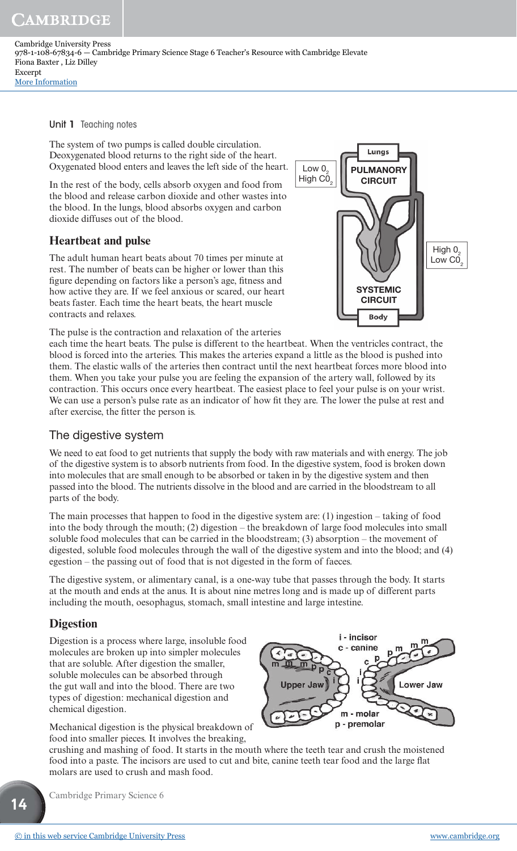Unit 1 Teaching notes

The system of two pumps is called double circulation. Deoxygenated blood returns to the right side of the heart. Oxygenated blood enters and leaves the left side of the heart.

In the rest of the body, cells absorb oxygen and food from the blood and release carbon dioxide and other wastes into the blood. In the lungs, blood absorbs oxygen and carbon dioxide diffuses out of the blood.

## **Heartbeat and pulse**

The adult human heart beats about 70 times per minute at rest. The number of beats can be higher or lower than this figure depending on factors like a person's age, fitness and how active they are. If we feel anxious or scared, our heart beats faster. Each time the heart beats, the heart muscle contracts and relaxes.

The pulse is the contraction and relaxation of the arteries



each time the heart beats. The pulse is different to the heartbeat. When the ventricles contract, the blood is forced into the arteries. This makes the arteries expand a little as the blood is pushed into them. The elastic walls of the arteries then contract until the next heartbeat forces more blood into them. When you take your pulse you are feeling the expansion of the artery wall, followed by its contraction. This occurs once every heartbeat. The easiest place to feel your pulse is on your wrist. We can use a person's pulse rate as an indicator of how fit they are. The lower the pulse at rest and after exercise, the fitter the person is.

#### The digestive system

We need to eat food to get nutrients that supply the body with raw materials and with energy. The job of the digestive system is to absorb nutrients from food. In the digestive system, food is broken down into molecules that are small enough to be absorbed or taken in by the digestive system and then passed into the blood. The nutrients dissolve in the blood and are carried in the bloodstream to all parts of the body.

The main processes that happen to food in the digestive system are: (1) ingestion – taking of food into the body through the mouth; (2) digestion – the breakdown of large food molecules into small soluble food molecules that can be carried in the bloodstream; (3) absorption – the movement of digested, soluble food molecules through the wall of the digestive system and into the blood; and (4) egestion – the passing out of food that is not digested in the form of faeces.

The digestive system, or alimentary canal, is a one-way tube that passes through the body. It starts at the mouth and ends at the anus. It is about nine metres long and is made up of different parts including the mouth, oesophagus, stomach, small intestine and large intestine.

## **Digestion**

Digestion is a process where large, insoluble food molecules are broken up into simpler molecules that are soluble. After digestion the smaller, soluble molecules can be absorbed through the gut wall and into the blood. There are two types of digestion: mechanical digestion and chemical digestion.

Mechanical digestion is the physical breakdown of food into smaller pieces. It involves the breaking,



crushing and mashing of food. It starts in the mouth where the teeth tear and crush the moistened food into a paste. The incisors are used to cut and bite, canine teeth tear food and the large flat molars are used to crush and mash food.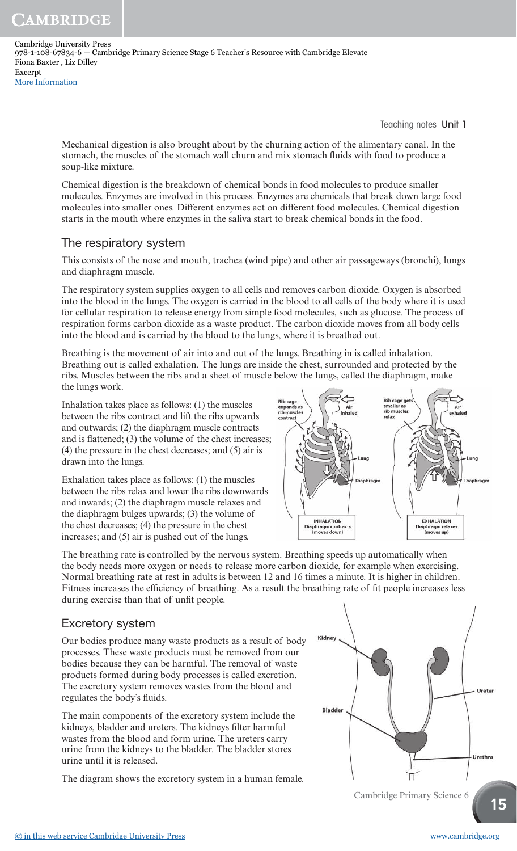Teaching notes Unit 1

Mechanical digestion is also brought about by the churning action of the alimentary canal. In the stomach, the muscles of the stomach wall churn and mix stomach fluids with food to produce a soup-like mixture.

Chemical digestion is the breakdown of chemical bonds in food molecules to produce smaller molecules. Enzymes are involved in this process. Enzymes are chemicals that break down large food molecules into smaller ones. Different enzymes act on different food molecules. Chemical digestion starts in the mouth where enzymes in the saliva start to break chemical bonds in the food.

## The respiratory system

This consists of the nose and mouth, trachea (wind pipe) and other air passageways (bronchi), lungs and diaphragm muscle.

The respiratory system supplies oxygen to all cells and removes carbon dioxide. Oxygen is absorbed into the blood in the lungs. The oxygen is carried in the blood to all cells of the body where it is used for cellular respiration to release energy from simple food molecules, such as glucose. The process of respiration forms carbon dioxide as a waste product. The carbon dioxide moves from all body cells into the blood and is carried by the blood to the lungs, where it is breathed out.

Breathing is the movement of air into and out of the lungs. Breathing in is called inhalation. Breathing out is called exhalation. The lungs are inside the chest, surrounded and protected by the ribs. Muscles between the ribs and a sheet of muscle below the lungs, called the diaphragm, make the lungs work.

Inhalation takes place as follows: (1) the muscles between the ribs contract and lift the ribs upwards and outwards; (2) the diaphragm muscle contracts and is flattened;  $(3)$  the volume of the chest increases; (4) the pressure in the chest decreases; and (5) air is drawn into the lungs.

Exhalation takes place as follows: (1) the muscles between the ribs relax and lower the ribs downwards and inwards; (2) the diaphragm muscle relaxes and the diaphragm bulges upwards; (3) the volume of the chest decreases; (4) the pressure in the chest increases; and (5) air is pushed out of the lungs.



The breathing rate is controlled by the nervous system. Breathing speeds up automatically when the body needs more oxygen or needs to release more carbon dioxide, for example when exercising. Normal breathing rate at rest in adults is between 12 and 16 times a minute. It is higher in children. Fitness increases the efficiency of breathing. As a result the breathing rate of fit people increases less during exercise than that of unfit people.

## Excretory system

Our bodies produce many waste products as a result of body processes. These waste products must be removed from our bodies because they can be harmful. The removal of waste products formed during body processes is called excretion. The excretory system removes wastes from the blood and regulates the body's fluids.

The main components of the excretory system include the kidneys, bladder and ureters. The kidneys filter harmful wastes from the blood and form urine. The ureters carry urine from the kidneys to the bladder. The bladder stores urine until it is released.

The diagram shows the excretory system in a human female.

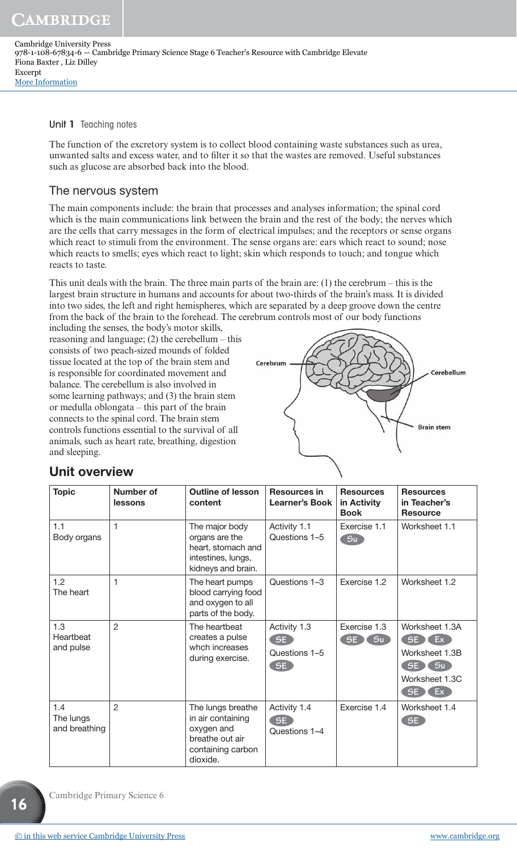#### Unit 1 Teaching notes

The function of the excretory system is to collect blood containing waste substances such as urea, unwanted salts and excess water, and to filter it so that the wastes are removed. Useful substances such as glucose are absorbed back into the blood.

## The nervous system

The main components include: the brain that processes and analyses information; the spinal cord which is the main communications link between the brain and the rest of the body; the nerves which are the cells that carry messages in the form of electrical impulses; and the receptors or sense organs which react to stimuli from the environment. The sense organs are: ears which react to sound; nose which reacts to smells; eyes which react to light; skin which responds to touch; and tongue which reacts to taste.

This unit deals with the brain. The three main parts of the brain are:  $(1)$  the cerebrum – this is the largest brain structure in humans and accounts for about two-thirds of the brain's mass. It is divided into two sides, the left and right hemispheres, which are separated by a deep groove down the centre from the back of the brain to the forehead. The cerebrum controls most of our body functions

including the senses, the body's motor skills, reasoning and language;  $(2)$  the cerebellum – this consists of two peach-sized mounds of folded tissue located at the top of the brain stem and is responsible for coordinated movement and balance. The cerebellum is also involved in some learning pathways; and (3) the brain stem or medulla oblongata – this part of the brain connects to the spinal cord. The brain stem controls functions essential to the survival of all animals, such as heart rate, breathing, digestion and sleeping.



## Unit overview

| <b>Topic</b>                      | Number of<br>lessons | <b>Outline of lesson</b><br>content                                                                      | <b>Resources in</b><br><b>Learner's Book</b> | <b>Resources</b><br>in Activity<br><b>Book</b> | <b>Resources</b><br>in Teacher's<br><b>Resource</b>                                      |
|-----------------------------------|----------------------|----------------------------------------------------------------------------------------------------------|----------------------------------------------|------------------------------------------------|------------------------------------------------------------------------------------------|
| 1.1<br>Body organs                | 1                    | The major body<br>organs are the<br>heart, stomach and<br>intestines, lungs,<br>kidneys and brain.       | Activity 1.1<br>Questions 1-5                | Exercise 1.1<br>Su                             | Worksheet 1.1                                                                            |
| 1.2<br>The heart                  | 1                    | The heart pumps<br>blood carrying food<br>and oxygen to all<br>parts of the body.                        | Questions 1-3                                | Exercise 1.2                                   | Worksheet 1.2                                                                            |
| 1.3<br>Heartbeat<br>and pulse     | $\overline{2}$       | The heartbeat<br>creates a pulse<br>whch increases<br>during exercise.                                   | Activity 1.3<br>SE<br>Questions 1-5<br>SE    | Exercise 1.3<br>S <sub>u</sub><br>SE           | Worksheet 1.3A<br>SE)<br>Ex<br>Worksheet 1.3B<br>Su<br>SE)<br>Worksheet 1.3C<br>SE<br>Ex |
| 1.4<br>The lungs<br>and breathing | $\overline{2}$       | The lungs breathe<br>in air containing<br>oxygen and<br>breathe out air<br>containing carbon<br>dioxide. | Activity 1.4<br>SE<br>Questions 1-4          | Exercise 1.4                                   | Worksheet 1.4<br>SE                                                                      |

Cambridge Primary Science 6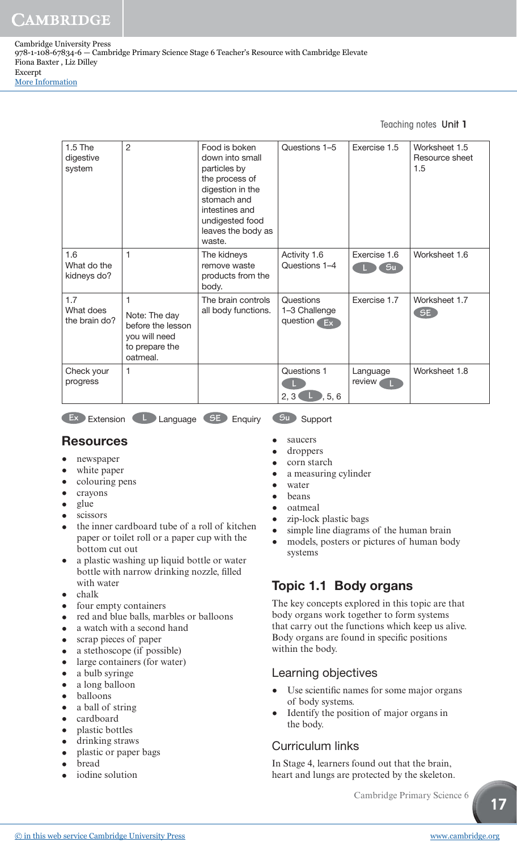## Teaching notes Unit 1

| $1.5$ The<br>digestive<br>system  | $\overline{2}$                                                                         | Food is boken<br>down into small<br>particles by<br>the process of<br>digestion in the<br>stomach and<br>intestines and<br>undigested food<br>leaves the body as<br>waste. | Questions 1-5                               | Exercise 1.5       | Worksheet 1.5<br>Resource sheet<br>1.5 |
|-----------------------------------|----------------------------------------------------------------------------------------|----------------------------------------------------------------------------------------------------------------------------------------------------------------------------|---------------------------------------------|--------------------|----------------------------------------|
| 1.6<br>What do the<br>kidneys do? | 1                                                                                      | The kidneys<br>remove waste<br>products from the<br>body.                                                                                                                  | Activity 1.6<br>Questions 1-4               | Exercise 1.6<br>Su | Worksheet 1.6                          |
| 1.7<br>What does<br>the brain do? | 1<br>Note: The day<br>before the lesson<br>you will need<br>to prepare the<br>oatmeal. | The brain controls<br>all body functions.                                                                                                                                  | Questions<br>1-3 Challenge<br>question $Ex$ | Exercise 1.7       | Worksheet 1.7<br>SE                    |
| Check your<br>progress            | $\mathbf{1}$                                                                           |                                                                                                                                                                            | Questions 1<br>2, 3<br>, 5, 6               | Language<br>review | Worksheet 1.8                          |

**Ex** Extension **L** Language **SE** Enquiry **Support** 

## **Resources**

- newspaper
- white paper
- colouring pens
- crayons
- glue
- scissors
- the inner cardboard tube of a roll of kitchen paper or toilet roll or a paper cup with the bottom cut out
- a plastic washing up liquid bottle or water bottle with narrow drinking nozzle, filled with water
- chalk
- four empty containers
- red and blue balls, marbles or balloons
- a watch with a second hand
- scrap pieces of paper
- a stethoscope (if possible)
- large containers (for water)
- a bulb syringe
- a long balloon
- balloons
- a ball of string
- cardboard
- plastic bottles
- drinking straws
- plastic or paper bags
- bread
- iodine solution
- saucers
- droppers
- corn starch
- a measuring cylinder
- water
- beans
- oatmeal
- zip-lock plastic bags
- simple line diagrams of the human brain
- models, posters or pictures of human body systems

## Topic 1.1 Body organs

The key concepts explored in this topic are that body organs work together to form systems that carry out the functions which keep us alive. Body organs are found in specific positions within the body.

#### Learning objectives

- Use scientific names for some major organs of body systems.
- Identify the position of major organs in the body.

## Curriculum links

In Stage 4, learners found out that the brain, heart and lungs are protected by the skeleton.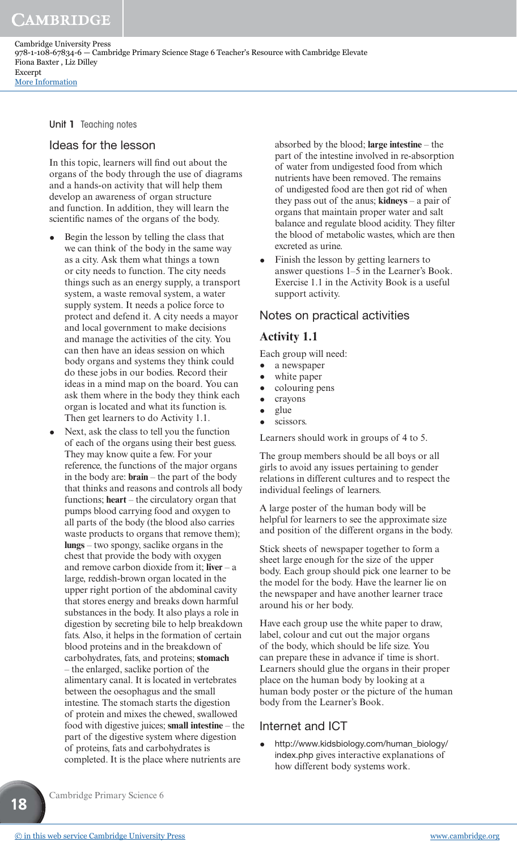Unit 1 Teaching notes

#### Ideas for the lesson

In this topic, learners will find out about the organs of the body through the use of diagrams and a hands-on activity that will help them develop an awareness of organ structure and function. In addition, they will learn the scientific names of the organs of the body.

- Begin the lesson by telling the class that we can think of the body in the same way as a city. Ask them what things a town or city needs to function. The city needs things such as an energy supply, a transport system, a waste removal system, a water supply system. It needs a police force to protect and defend it. A city needs a mayor and local government to make decisions and manage the activities of the city. You can then have an ideas session on which body organs and systems they think could do these jobs in our bodies. Record their ideas in a mind map on the board. You can ask them where in the body they think each organ is located and what its function is. Then get learners to do Activity 1.1.
- Next, ask the class to tell you the function of each of the organs using their best guess. They may know quite a few. For your reference, the functions of the major organs in the body are: **brain** – the part of the body that thinks and reasons and controls all body functions; **heart** – the circulatory organ that pumps blood carrying food and oxygen to all parts of the body (the blood also carries waste products to organs that remove them); **lungs** – two spongy, saclike organs in the chest that provide the body with oxygen and remove carbon dioxide from it; **liver** – a large, reddish-brown organ located in the upper right portion of the abdominal cavity that stores energy and breaks down harmful substances in the body. It also plays a role in digestion by secreting bile to help breakdown fats. Also, it helps in the formation of certain blood proteins and in the breakdown of carbohydrates, fats, and proteins; **stomach** – the enlarged, saclike portion of the alimentary canal. It is located in vertebrates between the oesophagus and the small intestine. The stomach starts the digestion of protein and mixes the chewed, swallowed food with digestive juices; **small intestine** – the part of the digestive system where digestion of proteins, fats and carbohydrates is completed. It is the place where nutrients are

absorbed by the blood; **large intestine** – the part of the intestine involved in re-absorption of water from undigested food from which nutrients have been removed. The remains of undigested food are then got rid of when they pass out of the anus; **kidneys** – a pair of organs that maintain proper water and salt balance and regulate blood acidity. They filter the blood of metabolic wastes, which are then excreted as urine.

• Finish the lesson by getting learners to answer questions 1–5 in the Learner's Book. Exercise 1.1 in the Activity Book is a useful support activity.

#### Notes on practical activities

#### **Activity 1.1**

Each group will need:

- a newspaper
- white paper
- colouring pens
- crayons
- glue
- scissors.

Learners should work in groups of 4 to 5.

The group members should be all boys or all girls to avoid any issues pertaining to gender relations in different cultures and to respect the individual feelings of learners.

A large poster of the human body will be helpful for learners to see the approximate size and position of the different organs in the body.

Stick sheets of newspaper together to form a sheet large enough for the size of the upper body. Each group should pick one learner to be the model for the body. Have the learner lie on the newspaper and have another learner trace around his or her body.

Have each group use the white paper to draw, label, colour and cut out the major organs of the body, which should be life size. You can prepare these in advance if time is short. Learners should glue the organs in their proper place on the human body by looking at a human body poster or the picture of the human body from the Learner's Book.

#### Internet and ICT

• http://www.kidsbiology.com/human\_biology/ index.php gives interactive explanations of how different body systems work.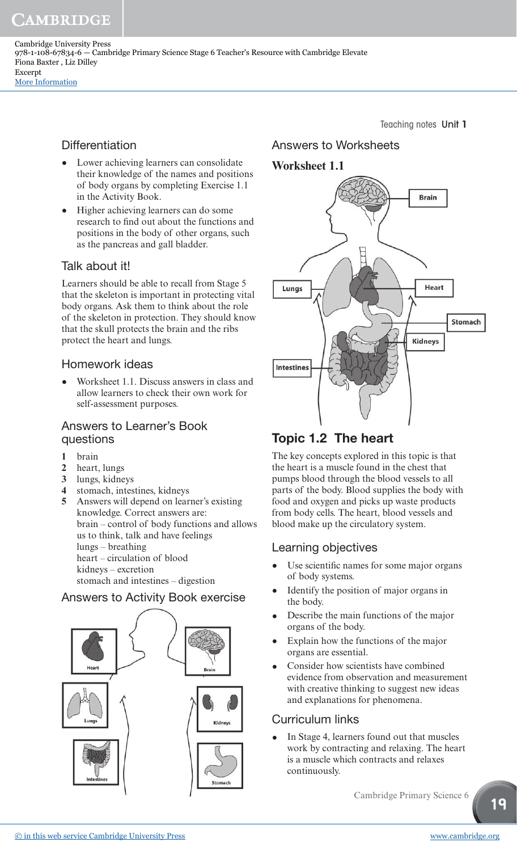CAMBRIDGE

Cambridge University Press 978-1-108-67834-6 — Cambridge Primary Science Stage 6 Teacher's Resource with Cambridge Elevate Fiona Baxter , Liz Dilley Excerpt [More Information](www.cambridge.org/9781108678346)

## **Differentiation**

- Lower achieving learners can consolidate their knowledge of the names and positions of body organs by completing Exercise 1.1 in the Activity Book.
- Higher achieving learners can do some research to find out about the functions and positions in the body of other organs, such as the pancreas and gall bladder.

## Talk about it!

Learners should be able to recall from Stage 5 that the skeleton is important in protecting vital body organs. Ask them to think about the role of the skeleton in protection. They should know that the skull protects the brain and the ribs protect the heart and lungs.

## Homework ideas

• Worksheet 1.1. Discuss answers in class and allow learners to check their own work for self-assessment purposes.

#### Answers to Learner's Book questions

- **1** brain
- **2** heart, lungs
- **3** lungs, kidneys
- **4** stomach, intestines, kidneys
- **5** Answers will depend on learner's existing knowledge. Correct answers are: brain – control of body functions and allows us to think, talk and have feelings lungs – breathing heart – circulation of blood kidneys – excretion stomach and intestines – digestion

## Answers to Activity Book exercise



Teaching notes Unit 1

## Answers to Worksheets

## **Worksheet 1.1**



## Topic 1.2 The heart

The key concepts explored in this topic is that the heart is a muscle found in the chest that pumps blood through the blood vessels to all parts of the body. Blood supplies the body with food and oxygen and picks up waste products from body cells. The heart, blood vessels and blood make up the circulatory system.

## Learning objectives

- Use scientific names for some major organs of body systems.
- Identify the position of major organs in the body.
- Describe the main functions of the major organs of the body.
- Explain how the functions of the major organs are essential.
- Consider how scientists have combined evidence from observation and measurement with creative thinking to suggest new ideas and explanations for phenomena.

## Curriculum links

• In Stage 4, learners found out that muscles work by contracting and relaxing. The heart is a muscle which contracts and relaxes continuously.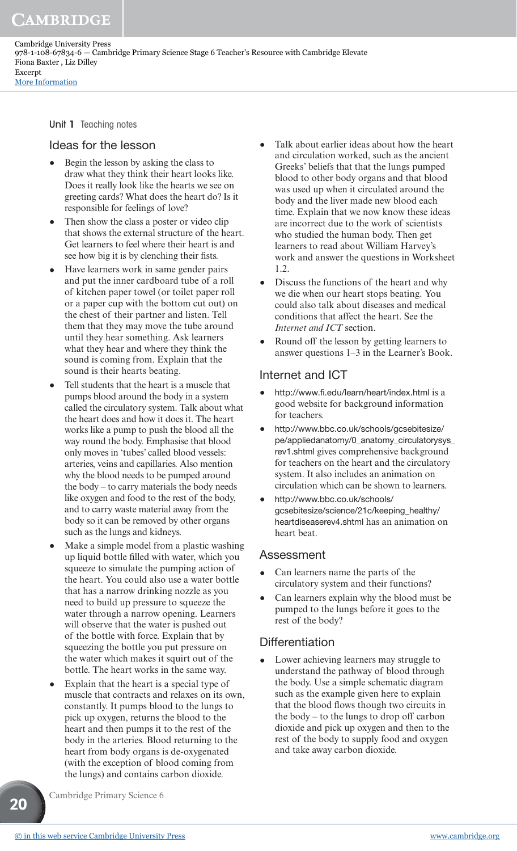Unit 1 Teaching notes

#### Ideas for the lesson

- Begin the lesson by asking the class to draw what they think their heart looks like. Does it really look like the hearts we see on greeting cards? What does the heart do? Is it responsible for feelings of love?
- Then show the class a poster or video clip that shows the external structure of the heart. Get learners to feel where their heart is and see how big it is by clenching their fists.
- Have learners work in same gender pairs and put the inner cardboard tube of a roll of kitchen paper towel (or toilet paper roll or a paper cup with the bottom cut out) on the chest of their partner and listen. Tell them that they may move the tube around until they hear something. Ask learners what they hear and where they think the sound is coming from. Explain that the sound is their hearts beating.
- Tell students that the heart is a muscle that pumps blood around the body in a system called the circulatory system. Talk about what the heart does and how it does it. The heart works like a pump to push the blood all the way round the body. Emphasise that blood only moves in 'tubes' called blood vessels: arteries, veins and capillaries. Also mention why the blood needs to be pumped around the body – to carry materials the body needs like oxygen and food to the rest of the body, and to carry waste material away from the body so it can be removed by other organs such as the lungs and kidneys.
- Make a simple model from a plastic washing up liquid bottle filled with water, which you squeeze to simulate the pumping action of the heart. You could also use a water bottle that has a narrow drinking nozzle as you need to build up pressure to squeeze the water through a narrow opening. Learners will observe that the water is pushed out of the bottle with force. Explain that by squeezing the bottle you put pressure on the water which makes it squirt out of the bottle. The heart works in the same way.
- Explain that the heart is a special type of muscle that contracts and relaxes on its own, constantly. It pumps blood to the lungs to pick up oxygen, returns the blood to the heart and then pumps it to the rest of the body in the arteries. Blood returning to the heart from body organs is de-oxygenated (with the exception of blood coming from the lungs) and contains carbon dioxide.
- Talk about earlier ideas about how the heart and circulation worked, such as the ancient Greeks' beliefs that that the lungs pumped blood to other body organs and that blood was used up when it circulated around the body and the liver made new blood each time. Explain that we now know these ideas are incorrect due to the work of scientists who studied the human body. Then get learners to read about William Harvey's work and answer the questions in Worksheet 1.2.
- Discuss the functions of the heart and why we die when our heart stops beating. You could also talk about diseases and medical conditions that affect the heart. See the *Internet and ICT* section.
- Round off the lesson by getting learners to answer questions 1–3 in the Learner's Book.

## Internet and ICT

- http://www.fi .edu/learn/heart/index.html is a good website for background information for teachers.
- http://www.bbc.co.uk/schools/gcsebitesize/ pe/appliedanatomy/0\_anatomy\_circulatorysys\_ rev1.shtml gives comprehensive background for teachers on the heart and the circulatory system. It also includes an animation on circulation which can be shown to learners.
- http://www.bbc.co.uk/schools/ gcsebitesize/science/21c/keeping\_healthy/ heartdiseaserev4.shtml has an animation on heart beat.

#### Assessment

- Can learners name the parts of the circulatory system and their functions?
- Can learners explain why the blood must be pumped to the lungs before it goes to the rest of the body?

## **Differentiation**

Lower achieving learners may struggle to understand the pathway of blood through the body. Use a simple schematic diagram such as the example given here to explain that the blood flows though two circuits in the body – to the lungs to drop off carbon dioxide and pick up oxygen and then to the rest of the body to supply food and oxygen and take away carbon dioxide.

Cambridge Primary Science 6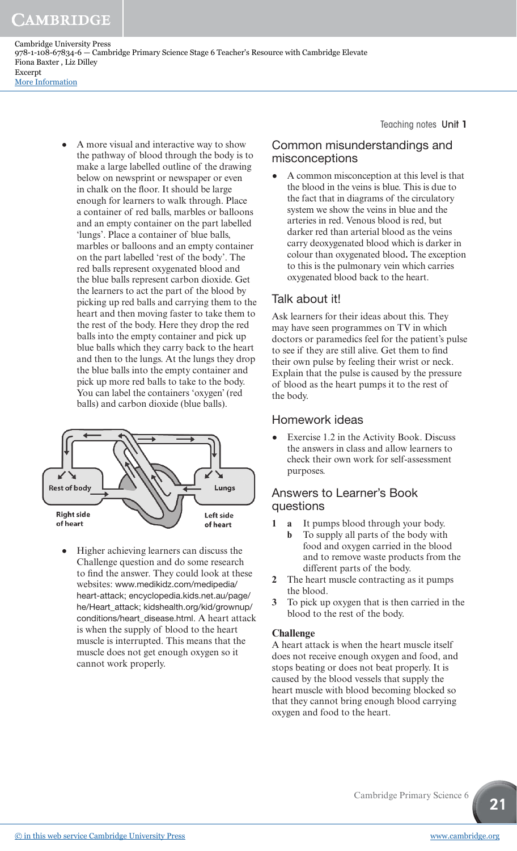CAMBRIDGE

Cambridge University Press 978-1-108-67834-6 — Cambridge Primary Science Stage 6 Teacher's Resource with Cambridge Elevate Fiona Baxter , Liz Dilley Excerpt [More Information](www.cambridge.org/9781108678346)

> • A more visual and interactive way to show the pathway of blood through the body is to make a large labelled outline of the drawing below on newsprint or newspaper or even in chalk on the floor. It should be large enough for learners to walk through. Place a container of red balls, marbles or balloons and an empty container on the part labelled 'lungs'. Place a container of blue balls, marbles or balloons and an empty container on the part labelled 'rest of the body'. The red balls represent oxygenated blood and the blue balls represent carbon dioxide. Get the learners to act the part of the blood by picking up red balls and carrying them to the heart and then moving faster to take them to the rest of the body. Here they drop the red balls into the empty container and pick up blue balls which they carry back to the heart and then to the lungs. At the lungs they drop the blue balls into the empty container and pick up more red balls to take to the body. You can label the containers 'oxygen' (red balls) and carbon dioxide (blue balls).



• Higher achieving learners can discuss the Challenge question and do some research to find the answer. They could look at these websites: www.medikidz.com/medipedia/ heart-attack; encyclopedia.kids.net.au/page/ he/Heart\_attack; kidshealth.org/kid/grownup/ conditions/heart\_disease.html. A heart attack is when the supply of blood to the heart muscle is interrupted. This means that the muscle does not get enough oxygen so it cannot work properly.

Teaching notes Unit 1

## Common misunderstandings and misconceptions

• A common misconception at this level is that the blood in the veins is blue. This is due to the fact that in diagrams of the circulatory system we show the veins in blue and the arteries in red. Venous blood is red, but darker red than arterial blood as the veins carry deoxygenated blood which is darker in colour than oxygenated blood**.** The exception to this is the pulmonary vein which carries oxygenated blood back to the heart.

## Talk about it!

Ask learners for their ideas about this. They may have seen programmes on TV in which doctors or paramedics feel for the patient's pulse to see if they are still alive. Get them to find their own pulse by feeling their wrist or neck. Explain that the pulse is caused by the pressure of blood as the heart pumps it to the rest of the body.

## Homework ideas

• Exercise 1.2 in the Activity Book. Discuss the answers in class and allow learners to check their own work for self-assessment purposes.

## Answers to Learner's Book questions

- **1 a** It pumps blood through your body.
	- **b** To supply all parts of the body with food and oxygen carried in the blood and to remove waste products from the different parts of the body.
- **2** The heart muscle contracting as it pumps the blood.
- **3** To pick up oxygen that is then carried in the blood to the rest of the body.

#### **Challenge**

A heart attack is when the heart muscle itself does not receive enough oxygen and food, and stops beating or does not beat properly. It is caused by the blood vessels that supply the heart muscle with blood becoming blocked so that they cannot bring enough blood carrying oxygen and food to the heart.